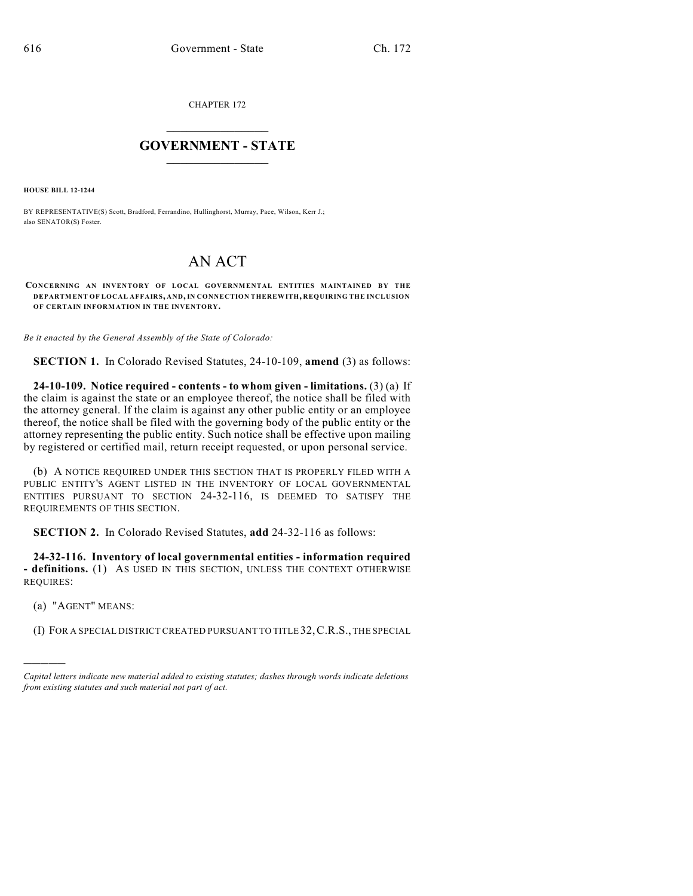CHAPTER 172

## $\mathcal{L}_\text{max}$  . The set of the set of the set of the set of the set of the set of the set of the set of the set of the set of the set of the set of the set of the set of the set of the set of the set of the set of the set **GOVERNMENT - STATE**  $\_$   $\_$

**HOUSE BILL 12-1244**

BY REPRESENTATIVE(S) Scott, Bradford, Ferrandino, Hullinghorst, Murray, Pace, Wilson, Kerr J.; also SENATOR(S) Foster.

## AN ACT

**CONCERNING AN INVENTORY OF LOCAL GOVERNMENTAL ENTITIES MAINTAINED BY THE DEPARTMENT OF LOCAL AFFAIRS, AND, IN CONNECTION THEREWITH, REQUIRING THE INCLUSION OF CERTAIN INFORMATION IN THE INVENTORY.**

*Be it enacted by the General Assembly of the State of Colorado:*

**SECTION 1.** In Colorado Revised Statutes, 24-10-109, **amend** (3) as follows:

**24-10-109. Notice required - contents - to whom given - limitations.** (3) (a) If the claim is against the state or an employee thereof, the notice shall be filed with the attorney general. If the claim is against any other public entity or an employee thereof, the notice shall be filed with the governing body of the public entity or the attorney representing the public entity. Such notice shall be effective upon mailing by registered or certified mail, return receipt requested, or upon personal service.

(b) A NOTICE REQUIRED UNDER THIS SECTION THAT IS PROPERLY FILED WITH A PUBLIC ENTITY'S AGENT LISTED IN THE INVENTORY OF LOCAL GOVERNMENTAL ENTITIES PURSUANT TO SECTION 24-32-116, IS DEEMED TO SATISFY THE REQUIREMENTS OF THIS SECTION.

**SECTION 2.** In Colorado Revised Statutes, **add** 24-32-116 as follows:

**24-32-116. Inventory of local governmental entities - information required - definitions.** (1) AS USED IN THIS SECTION, UNLESS THE CONTEXT OTHERWISE REQUIRES:

(a) "AGENT" MEANS:

)))))

(I) FOR A SPECIAL DISTRICT CREATED PURSUANT TO TITLE 32,C.R.S., THE SPECIAL

*Capital letters indicate new material added to existing statutes; dashes through words indicate deletions from existing statutes and such material not part of act.*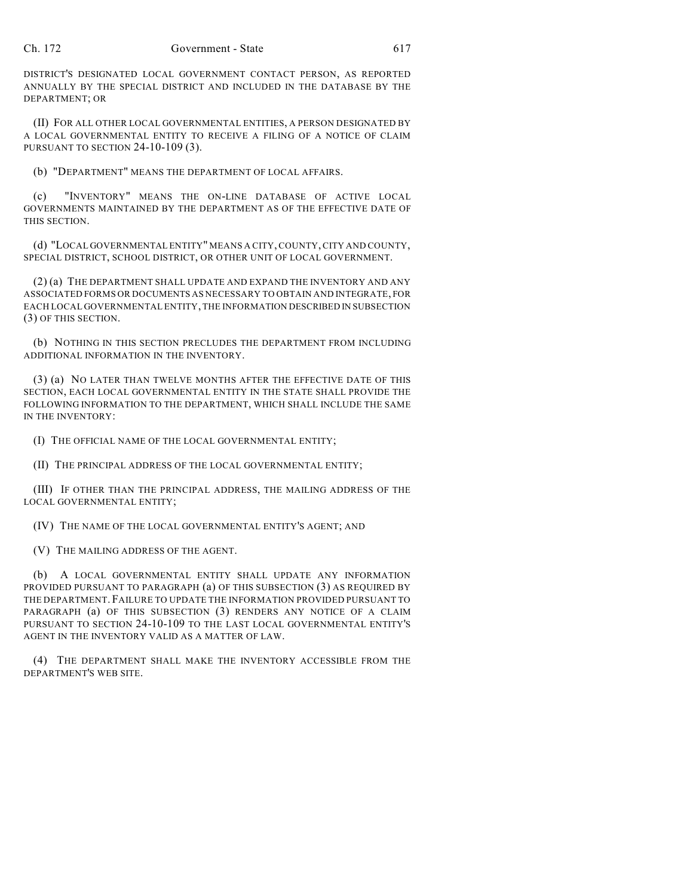DISTRICT'S DESIGNATED LOCAL GOVERNMENT CONTACT PERSON, AS REPORTED ANNUALLY BY THE SPECIAL DISTRICT AND INCLUDED IN THE DATABASE BY THE DEPARTMENT; OR

(II) FOR ALL OTHER LOCAL GOVERNMENTAL ENTITIES, A PERSON DESIGNATED BY A LOCAL GOVERNMENTAL ENTITY TO RECEIVE A FILING OF A NOTICE OF CLAIM PURSUANT TO SECTION 24-10-109 (3).

(b) "DEPARTMENT" MEANS THE DEPARTMENT OF LOCAL AFFAIRS.

(c) "INVENTORY" MEANS THE ON-LINE DATABASE OF ACTIVE LOCAL GOVERNMENTS MAINTAINED BY THE DEPARTMENT AS OF THE EFFECTIVE DATE OF THIS SECTION.

(d) "LOCAL GOVERNMENTAL ENTITY" MEANS A CITY, COUNTY, CITY AND COUNTY, SPECIAL DISTRICT, SCHOOL DISTRICT, OR OTHER UNIT OF LOCAL GOVERNMENT.

(2) (a) THE DEPARTMENT SHALL UPDATE AND EXPAND THE INVENTORY AND ANY ASSOCIATED FORMS OR DOCUMENTS AS NECESSARY TO OBTAIN AND INTEGRATE, FOR EACH LOCAL GOVERNMENTAL ENTITY, THE INFORMATION DESCRIBED IN SUBSECTION (3) OF THIS SECTION.

(b) NOTHING IN THIS SECTION PRECLUDES THE DEPARTMENT FROM INCLUDING ADDITIONAL INFORMATION IN THE INVENTORY.

(3) (a) NO LATER THAN TWELVE MONTHS AFTER THE EFFECTIVE DATE OF THIS SECTION, EACH LOCAL GOVERNMENTAL ENTITY IN THE STATE SHALL PROVIDE THE FOLLOWING INFORMATION TO THE DEPARTMENT, WHICH SHALL INCLUDE THE SAME IN THE INVENTORY:

(I) THE OFFICIAL NAME OF THE LOCAL GOVERNMENTAL ENTITY;

(II) THE PRINCIPAL ADDRESS OF THE LOCAL GOVERNMENTAL ENTITY;

(III) IF OTHER THAN THE PRINCIPAL ADDRESS, THE MAILING ADDRESS OF THE LOCAL GOVERNMENTAL ENTITY;

(IV) THE NAME OF THE LOCAL GOVERNMENTAL ENTITY'S AGENT; AND

(V) THE MAILING ADDRESS OF THE AGENT.

(b) A LOCAL GOVERNMENTAL ENTITY SHALL UPDATE ANY INFORMATION PROVIDED PURSUANT TO PARAGRAPH (a) OF THIS SUBSECTION (3) AS REQUIRED BY THE DEPARTMENT. FAILURE TO UPDATE THE INFORMATION PROVIDED PURSUANT TO PARAGRAPH (a) OF THIS SUBSECTION (3) RENDERS ANY NOTICE OF A CLAIM PURSUANT TO SECTION 24-10-109 TO THE LAST LOCAL GOVERNMENTAL ENTITY'S AGENT IN THE INVENTORY VALID AS A MATTER OF LAW.

(4) THE DEPARTMENT SHALL MAKE THE INVENTORY ACCESSIBLE FROM THE DEPARTMENT'S WEB SITE.